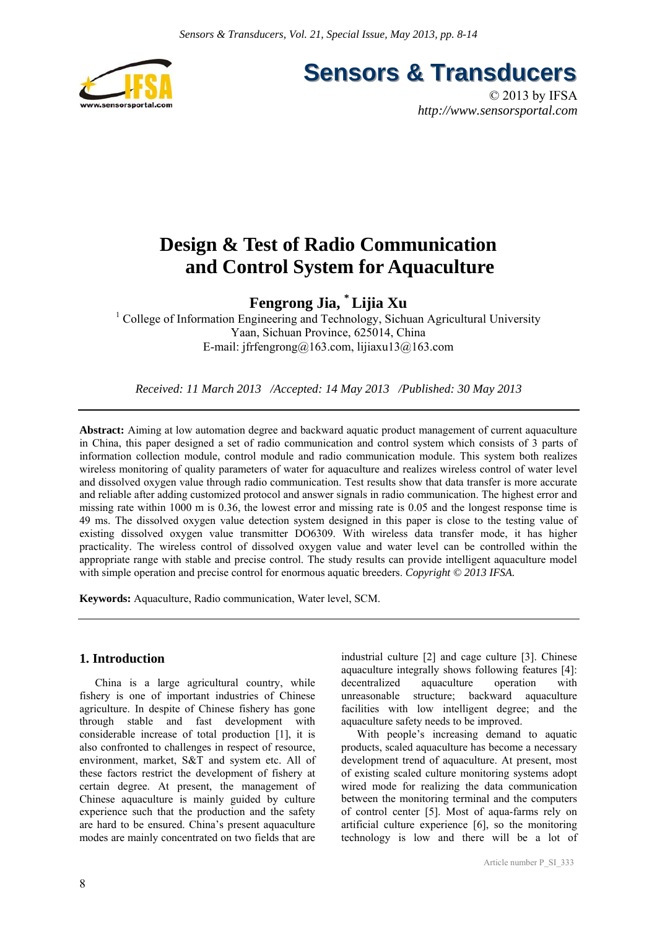

**Sensors & Transducers** 

© 2013 by IFSA *http://www.sensorsportal.com*

# **Design & Test of Radio Communication and Control System for Aquaculture**

**Fengrong Jia, \* Lijia Xu** 

<sup>1</sup> College of Information Engineering and Technology, Sichuan Agricultural University Yaan, Sichuan Province, 625014, China E-mail: jfrfengrong@163.com, lijiaxu13@163.com

*Received: 11 March 2013 /Accepted: 14 May 2013 /Published: 30 May 2013* 

**Abstract:** Aiming at low automation degree and backward aquatic product management of current aquaculture in China, this paper designed a set of radio communication and control system which consists of 3 parts of information collection module, control module and radio communication module. This system both realizes wireless monitoring of quality parameters of water for aquaculture and realizes wireless control of water level and dissolved oxygen value through radio communication. Test results show that data transfer is more accurate and reliable after adding customized protocol and answer signals in radio communication. The highest error and missing rate within 1000 m is 0.36, the lowest error and missing rate is 0.05 and the longest response time is 49 ms. The dissolved oxygen value detection system designed in this paper is close to the testing value of existing dissolved oxygen value transmitter DO6309. With wireless data transfer mode, it has higher practicality. The wireless control of dissolved oxygen value and water level can be controlled within the appropriate range with stable and precise control. The study results can provide intelligent aquaculture model with simple operation and precise control for enormous aquatic breeders. *Copyright* © 2013 IFSA.

**Keywords:** Aquaculture, Radio communication, Water level, SCM.

## **1. Introduction**

China is a large agricultural country, while fishery is one of important industries of Chinese agriculture. In despite of Chinese fishery has gone through stable and fast development with considerable increase of total production [1], it is also confronted to challenges in respect of resource, environment, market, S&T and system etc. All of these factors restrict the development of fishery at certain degree. At present, the management of Chinese aquaculture is mainly guided by culture experience such that the production and the safety are hard to be ensured. China's present aquaculture modes are mainly concentrated on two fields that are

industrial culture [2] and cage culture [3]. Chinese aquaculture integrally shows following features [4]: decentralized aquaculture operation with unreasonable structure; backward aquaculture facilities with low intelligent degree; and the aquaculture safety needs to be improved.

With people's increasing demand to aquatic products, scaled aquaculture has become a necessary development trend of aquaculture. At present, most of existing scaled culture monitoring systems adopt wired mode for realizing the data communication between the monitoring terminal and the computers of control center [5]. Most of aqua-farms rely on artificial culture experience [6], so the monitoring technology is low and there will be a lot of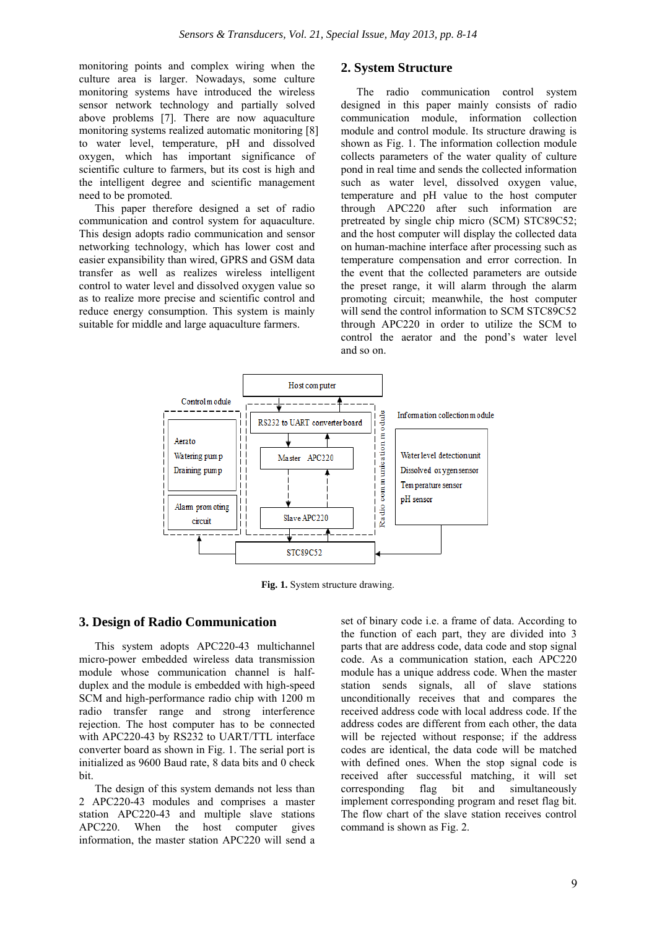monitoring points and complex wiring when the culture area is larger. Nowadays, some culture monitoring systems have introduced the wireless sensor network technology and partially solved above problems [7]. There are now aquaculture monitoring systems realized automatic monitoring [8] to water level, temperature, pH and dissolved oxygen, which has important significance of scientific culture to farmers, but its cost is high and the intelligent degree and scientific management need to be promoted.

This paper therefore designed a set of radio communication and control system for aquaculture. This design adopts radio communication and sensor networking technology, which has lower cost and easier expansibility than wired, GPRS and GSM data transfer as well as realizes wireless intelligent control to water level and dissolved oxygen value so as to realize more precise and scientific control and reduce energy consumption. This system is mainly suitable for middle and large aquaculture farmers.

## **2. System Structure**

The radio communication control system designed in this paper mainly consists of radio communication module, information collection module and control module. Its structure drawing is shown as Fig. 1. The information collection module collects parameters of the water quality of culture pond in real time and sends the collected information such as water level, dissolved oxygen value, temperature and pH value to the host computer through APC220 after such information are pretreated by single chip micro (SCM) STC89C52; and the host computer will display the collected data on human-machine interface after processing such as temperature compensation and error correction. In the event that the collected parameters are outside the preset range, it will alarm through the alarm promoting circuit; meanwhile, the host computer will send the control information to SCM STC89C52 through APC220 in order to utilize the SCM to control the aerator and the pond's water level and so on.



Fig. 1. System structure drawing.

## **3. Design of Radio Communication**

This system adopts APC220-43 multichannel micro-power embedded wireless data transmission module whose communication channel is halfduplex and the module is embedded with high-speed SCM and high-performance radio chip with 1200 m radio transfer range and strong interference rejection. The host computer has to be connected with APC220-43 by RS232 to UART/TTL interface converter board as shown in Fig. 1. The serial port is initialized as 9600 Baud rate, 8 data bits and 0 check bit.

The design of this system demands not less than 2 APC220-43 modules and comprises a master station APC220-43 and multiple slave stations APC220. When the host computer gives information, the master station APC220 will send a

set of binary code i.e. a frame of data. According to the function of each part, they are divided into 3 parts that are address code, data code and stop signal code. As a communication station, each APC220 module has a unique address code. When the master station sends signals, all of slave stations unconditionally receives that and compares the received address code with local address code. If the address codes are different from each other, the data will be rejected without response; if the address codes are identical, the data code will be matched with defined ones. When the stop signal code is received after successful matching, it will set corresponding flag bit and simultaneously implement corresponding program and reset flag bit. The flow chart of the slave station receives control command is shown as Fig. 2.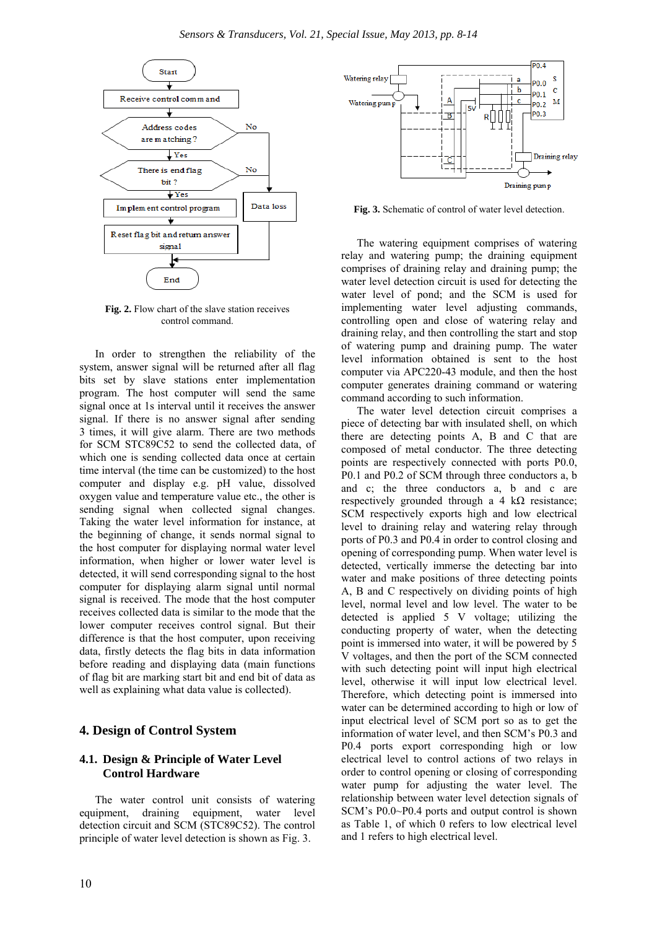

**Fig. 2.** Flow chart of the slave station receives control command.

In order to strengthen the reliability of the system, answer signal will be returned after all flag bits set by slave stations enter implementation program. The host computer will send the same signal once at 1s interval until it receives the answer signal. If there is no answer signal after sending 3 times, it will give alarm. There are two methods for SCM STC89C52 to send the collected data, of which one is sending collected data once at certain time interval (the time can be customized) to the host computer and display e.g. pH value, dissolved oxygen value and temperature value etc., the other is sending signal when collected signal changes. Taking the water level information for instance, at the beginning of change, it sends normal signal to the host computer for displaying normal water level information, when higher or lower water level is detected, it will send corresponding signal to the host computer for displaying alarm signal until normal signal is received. The mode that the host computer receives collected data is similar to the mode that the lower computer receives control signal. But their difference is that the host computer, upon receiving data, firstly detects the flag bits in data information before reading and displaying data (main functions of flag bit are marking start bit and end bit of data as well as explaining what data value is collected).

#### **4. Design of Control System**

#### **4.1. Design & Principle of Water Level Control Hardware**

The water control unit consists of watering equipment, draining equipment, water level detection circuit and SCM (STC89C52). The control principle of water level detection is shown as Fig. 3.



**Fig. 3.** Schematic of control of water level detection.

The watering equipment comprises of watering relay and watering pump; the draining equipment comprises of draining relay and draining pump; the water level detection circuit is used for detecting the water level of pond; and the SCM is used for implementing water level adjusting commands, controlling open and close of watering relay and draining relay, and then controlling the start and stop of watering pump and draining pump. The water level information obtained is sent to the host computer via APC220-43 module, and then the host computer generates draining command or watering command according to such information.

The water level detection circuit comprises a piece of detecting bar with insulated shell, on which there are detecting points A, B and C that are composed of metal conductor. The three detecting points are respectively connected with ports P0.0, P0.1 and P0.2 of SCM through three conductors a, b and c; the three conductors a, b and c are respectively grounded through a 4 k $\Omega$  resistance; SCM respectively exports high and low electrical level to draining relay and watering relay through ports of P0.3 and P0.4 in order to control closing and opening of corresponding pump. When water level is detected, vertically immerse the detecting bar into water and make positions of three detecting points A, B and C respectively on dividing points of high level, normal level and low level. The water to be detected is applied 5 V voltage; utilizing the conducting property of water, when the detecting point is immersed into water, it will be powered by 5 V voltages, and then the port of the SCM connected with such detecting point will input high electrical level, otherwise it will input low electrical level. Therefore, which detecting point is immersed into water can be determined according to high or low of input electrical level of SCM port so as to get the information of water level, and then SCM's P0.3 and P0.4 ports export corresponding high or low electrical level to control actions of two relays in order to control opening or closing of corresponding water pump for adjusting the water level. The relationship between water level detection signals of SCM's P0.0~P0.4 ports and output control is shown as Table 1, of which 0 refers to low electrical level and 1 refers to high electrical level.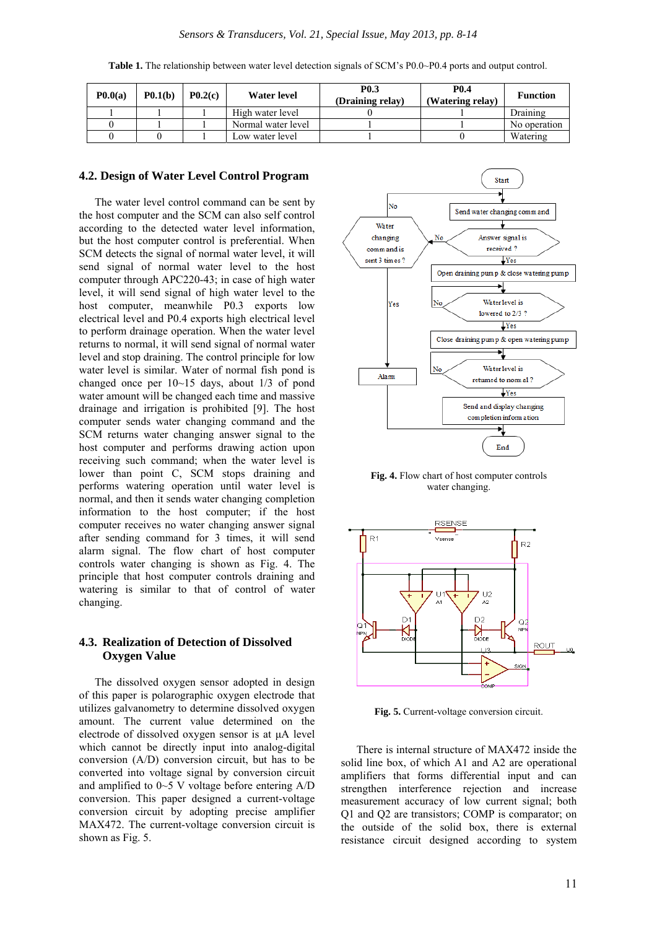**Table 1.** The relationship between water level detection signals of SCM's P0.0~P0.4 ports and output control.

| P <sub>0.0(a)</sub> | P <sub>0.1(b)</sub> | P <sub>0.2(c)</sub> | Water level        | <b>PO.3</b><br>(Draining relay) | <b>P0.4</b><br>(Watering relay) | <b>Function</b> |
|---------------------|---------------------|---------------------|--------------------|---------------------------------|---------------------------------|-----------------|
|                     |                     |                     | High water level   |                                 |                                 | Draining        |
|                     |                     |                     | Normal water level |                                 |                                 | No operation    |
|                     |                     |                     | Low water level    |                                 |                                 | Watering        |

#### **4.2. Design of Water Level Control Program**

The water level control command can be sent by the host computer and the SCM can also self control according to the detected water level information, but the host computer control is preferential. When SCM detects the signal of normal water level, it will send signal of normal water level to the host computer through APC220-43; in case of high water level, it will send signal of high water level to the host computer, meanwhile P0.3 exports low electrical level and P0.4 exports high electrical level to perform drainage operation. When the water level returns to normal, it will send signal of normal water level and stop draining. The control principle for low water level is similar. Water of normal fish pond is changed once per 10~15 days, about 1/3 of pond water amount will be changed each time and massive drainage and irrigation is prohibited [9]. The host computer sends water changing command and the SCM returns water changing answer signal to the host computer and performs drawing action upon receiving such command; when the water level is lower than point C, SCM stops draining and performs watering operation until water level is normal, and then it sends water changing completion information to the host computer; if the host computer receives no water changing answer signal after sending command for 3 times, it will send alarm signal. The flow chart of host computer controls water changing is shown as Fig. 4. The principle that host computer controls draining and watering is similar to that of control of water changing.

#### **4.3. Realization of Detection of Dissolved Oxygen Value**

The dissolved oxygen sensor adopted in design of this paper is polarographic oxygen electrode that utilizes galvanometry to determine dissolved oxygen amount. The current value determined on the electrode of dissolved oxygen sensor is at μA level which cannot be directly input into analog-digital conversion (A/D) conversion circuit, but has to be converted into voltage signal by conversion circuit and amplified to 0~5 V voltage before entering A/D conversion. This paper designed a current-voltage conversion circuit by adopting precise amplifier MAX472. The current-voltage conversion circuit is shown as Fig. 5.



**Fig. 4.** Flow chart of host computer controls water changing.



**Fig. 5.** Current-voltage conversion circuit.

There is internal structure of MAX472 inside the solid line box, of which A1 and A2 are operational amplifiers that forms differential input and can strengthen interference rejection and increase measurement accuracy of low current signal; both Q1 and Q2 are transistors; COMP is comparator; on the outside of the solid box, there is external resistance circuit designed according to system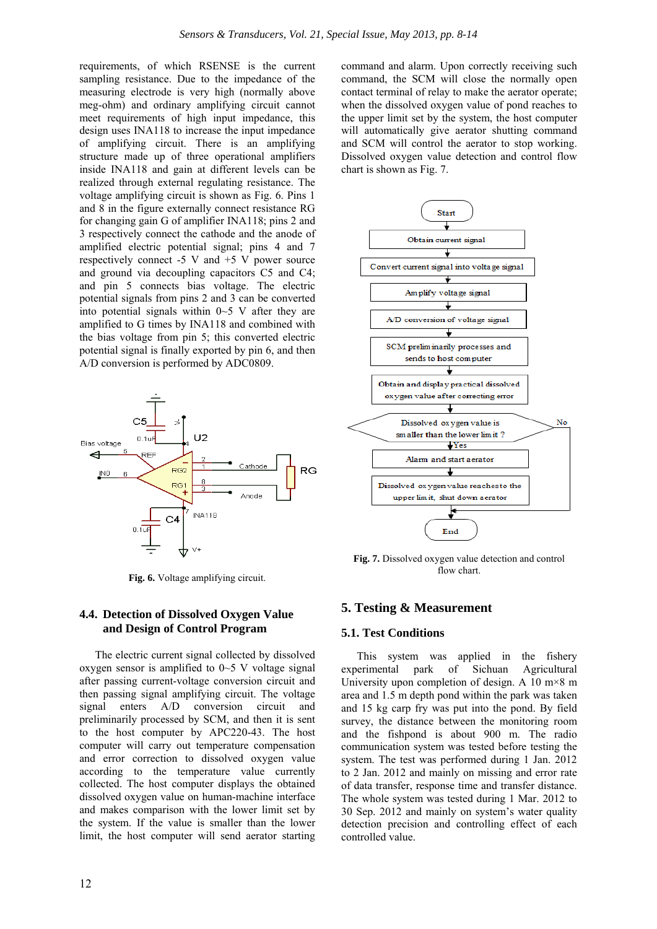requirements, of which RSENSE is the current sampling resistance. Due to the impedance of the measuring electrode is very high (normally above meg-ohm) and ordinary amplifying circuit cannot meet requirements of high input impedance, this design uses INA118 to increase the input impedance of amplifying circuit. There is an amplifying structure made up of three operational amplifiers inside INA118 and gain at different levels can be realized through external regulating resistance. The voltage amplifying circuit is shown as Fig. 6. Pins 1 and 8 in the figure externally connect resistance RG for changing gain G of amplifier INA118; pins 2 and 3 respectively connect the cathode and the anode of amplified electric potential signal; pins 4 and 7 respectively connect  $-5$  V and  $+5$  V power source and ground via decoupling capacitors C5 and C4; and pin 5 connects bias voltage. The electric potential signals from pins 2 and 3 can be converted into potential signals within  $0 \sim 5$  V after they are amplified to G times by INA118 and combined with the bias voltage from pin 5; this converted electric potential signal is finally exported by pin 6, and then A/D conversion is performed by ADC0809.



**Fig. 6.** Voltage amplifying circuit.

#### **4.4. Detection of Dissolved Oxygen Value and Design of Control Program**

The electric current signal collected by dissolved oxygen sensor is amplified to  $0\nightharpoonup$  5 V voltage signal after passing current-voltage conversion circuit and then passing signal amplifying circuit. The voltage signal enters A/D conversion circuit and preliminarily processed by SCM, and then it is sent to the host computer by APC220-43. The host computer will carry out temperature compensation and error correction to dissolved oxygen value according to the temperature value currently collected. The host computer displays the obtained dissolved oxygen value on human-machine interface and makes comparison with the lower limit set by the system. If the value is smaller than the lower limit, the host computer will send aerator starting

command and alarm. Upon correctly receiving such command, the SCM will close the normally open contact terminal of relay to make the aerator operate; when the dissolved oxygen value of pond reaches to the upper limit set by the system, the host computer will automatically give aerator shutting command and SCM will control the aerator to stop working. Dissolved oxygen value detection and control flow chart is shown as Fig. 7.



**Fig. 7.** Dissolved oxygen value detection and control flow chart.

#### **5. Testing & Measurement**

#### **5.1. Test Conditions**

This system was applied in the fishery experimental park of Sichuan Agricultural University upon completion of design. A 10  $m \times 8$  m area and 1.5 m depth pond within the park was taken and 15 kg carp fry was put into the pond. By field survey, the distance between the monitoring room and the fishpond is about 900 m. The radio communication system was tested before testing the system. The test was performed during 1 Jan. 2012 to 2 Jan. 2012 and mainly on missing and error rate of data transfer, response time and transfer distance. The whole system was tested during 1 Mar. 2012 to 30 Sep. 2012 and mainly on system's water quality detection precision and controlling effect of each controlled value.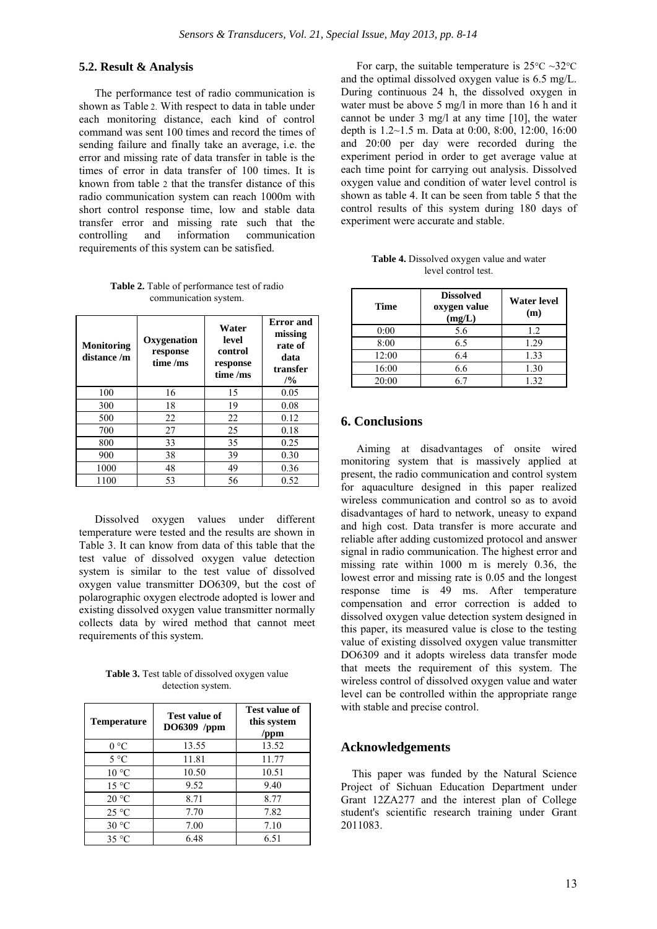#### **5.2. Result & Analysis**

The performance test of radio communication is shown as Table 2. With respect to data in table under each monitoring distance, each kind of control command was sent 100 times and record the times of sending failure and finally take an average, i.e. the error and missing rate of data transfer in table is the times of error in data transfer of 100 times. It is known from table 2 that the transfer distance of this radio communication system can reach 1000m with short control response time, low and stable data transfer error and missing rate such that the controlling and information communication requirements of this system can be satisfied.

**Table 2.** Table of performance test of radio communication system.

| <b>Monitoring</b><br>distance /m | Oxygenation<br>response<br>time /ms | Water<br>level<br>control<br>response<br>time /ms | <b>Error</b> and<br>missing<br>rate of<br>data<br>transfer<br>/9/0 |
|----------------------------------|-------------------------------------|---------------------------------------------------|--------------------------------------------------------------------|
| 100                              | 16                                  | 15                                                | 0.05                                                               |
| 300                              | 18                                  | 19                                                | 0.08                                                               |
| 500                              | 22                                  | 22                                                | 0.12                                                               |
| 700                              | 27                                  | 25                                                | 0.18                                                               |
| 800                              | 33                                  | 35                                                | 0.25                                                               |
| 900                              | 38                                  | 39                                                | 0.30                                                               |
| 1000                             | 48                                  | 49                                                | 0.36                                                               |
| 1100                             | 53                                  | 56                                                | 0.52                                                               |

Dissolved oxygen values under different temperature were tested and the results are shown in Table 3. It can know from data of this table that the test value of dissolved oxygen value detection system is similar to the test value of dissolved oxygen value transmitter DO6309, but the cost of polarographic oxygen electrode adopted is lower and existing dissolved oxygen value transmitter normally collects data by wired method that cannot meet requirements of this system.

**Table 3.** Test table of dissolved oxygen value detection system.

| Temperature    | <b>Test value of</b><br>DO6309 /ppm | Test value of<br>this system<br>/ppm |
|----------------|-------------------------------------|--------------------------------------|
| 0 °C           | 13.55                               | 13.52                                |
| $5^{\circ}$ C  | 11.81                               | 11.77                                |
| $10^{\circ}$ C | 10.50                               | 10.51                                |
| 15 °C          | 9.52                                | 9.40                                 |
| 20 °C          | 8.71                                | 8.77                                 |
| 25 °C          | 7.70                                | 7.82                                 |
| 30 °C          | 7.00                                | 7.10                                 |
| $35^{\circ}$ C | 6.48                                | 6.51                                 |

For carp, the suitable temperature is  $25^{\circ}$ C ~32<sup>o</sup>C and the optimal dissolved oxygen value is 6.5 mg/L. During continuous 24 h, the dissolved oxygen in water must be above 5 mg/l in more than 16 h and it cannot be under 3 mg/l at any time [10], the water depth is 1.2~1.5 m. Data at 0:00, 8:00, 12:00, 16:00 and 20:00 per day were recorded during the experiment period in order to get average value at each time point for carrying out analysis. Dissolved oxygen value and condition of water level control is shown as table 4. It can be seen from table 5 that the control results of this system during 180 days of experiment were accurate and stable.

| <b>Table 4.</b> Dissolved oxygen value and water |  |
|--------------------------------------------------|--|
| level control test.                              |  |

| <b>Time</b> | <b>Dissolved</b><br>oxygen value<br>(mg/L) | <b>Water level</b><br>(m) |
|-------------|--------------------------------------------|---------------------------|
| 0:00        | 5.6                                        | 1.2                       |
| 8:00        | 6.5                                        | 1.29                      |
| 12:00       | 6.4                                        | 1.33                      |
| 16:00       | 6.6                                        | 1.30                      |
| 20:00       | 67                                         | 1.32                      |

## **6. Conclusions**

Aiming at disadvantages of onsite wired monitoring system that is massively applied at present, the radio communication and control system for aquaculture designed in this paper realized wireless communication and control so as to avoid disadvantages of hard to network, uneasy to expand and high cost. Data transfer is more accurate and reliable after adding customized protocol and answer signal in radio communication. The highest error and missing rate within 1000 m is merely 0.36, the lowest error and missing rate is 0.05 and the longest response time is 49 ms. After temperature compensation and error correction is added to dissolved oxygen value detection system designed in this paper, its measured value is close to the testing value of existing dissolved oxygen value transmitter DO6309 and it adopts wireless data transfer mode that meets the requirement of this system. The wireless control of dissolved oxygen value and water level can be controlled within the appropriate range with stable and precise control.

## **Acknowledgements**

This paper was funded by the Natural Science Project of Sichuan Education Department under Grant 12ZA277 and the interest plan of College student's scientific research training under Grant 2011083.